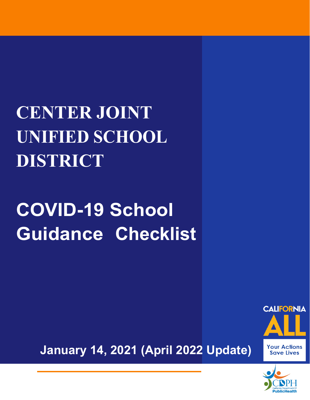## **CENTER JOINT UNIFIED SCHOOL DISTRICT**

# **COVID-19 School Guidance Checklist**





**January 14, 2021 (April 2022 Update)**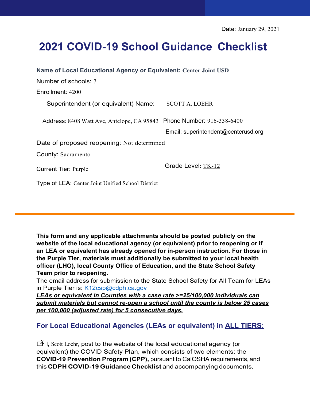## **2021 COVID-19 School Guidance Checklist**

| Name of Local Educational Agency or Equivalent: Center Joint USD      |                                     |
|-----------------------------------------------------------------------|-------------------------------------|
| Number of schools: 7                                                  |                                     |
| Enrollment: 4200                                                      |                                     |
| Superintendent (or equivalent) Name:                                  | <b>SCOTT A. LOEHR</b>               |
| Address: 8408 Watt Ave, Antelope, CA 95843 Phone Number: 916-338-6400 |                                     |
|                                                                       | Email: superintendent@centerusd.org |
| Date of proposed reopening: Not determined                            |                                     |
| <b>County: Sacramento</b>                                             |                                     |
| <b>Current Tier: Purple</b>                                           | Grade Level: TK-12                  |
| Type of LEA: Center Joint Unified School District                     |                                     |

**This form and any applicable attachments should be posted publicly on the website of the local educational agency (or equivalent) prior to reopening or if an LEA or equivalent has already opened for in-person instruction. For those in the Purple Tier, materials must additionally be submitted to your local health officer (LHO), local County Office of Education, and the State School Safety Team prior to reopening.**

The email address for submission to the State School Safety for All Team for LEAs in Purple Tier is: [K12csp@cdph.ca.gov](mailto:K12csp@cdph.ca.gov)

*[LEAs or equivalent in C](mailto:K12csp@cdph.ca.gov)ounties with a case rate >=25/100,000 individuals can submit materials but cannot re-open a school until the county is below 25 cases per 100,000 (adjusted rate) for 5 consecutive days.*

### **For Local Educational Agencies (LEAs or equivalent) in ALL TIERS:**

 $\overrightarrow{A}$  I, Scott Loehr, post to the website of the local educational agency (or equivalent) the COVID Safety Plan, which consists of two elements: the **COVID-19 Prevention Program (CPP),** pursuant to CalOSHA requirements,and this **CDPH COVID-19 Guidance Checklist** and accompanying documents,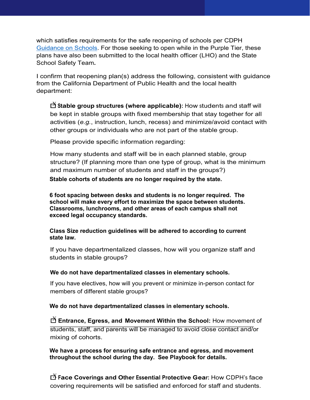which satisfies requirements for the safe reopening of schools per CDPH [Guidance on Schools.](https://www.cdph.ca.gov/Programs/CID/DCDC/CDPH%20Document%20Library/COVID-19/Consolidated_Schools_Guidance.pdf) For those seeking to open while in the Purple Tier, these plans have also been submitted to the local health officer (LHO) and the State School Safety Team**.**

I confirm that reopening plan(s) address the following, consistent with guidance from the California Department of Public Health and the local health department:

**□X Stable group structures (where applicable):** How students and staff will be kept in stable groups with fixed membership that stay together for all activities (*e.g.*, instruction, lunch, recess) and minimize/avoid contact with other groups or individuals who are not part of the stable group.

Please provide specific information regarding:

How many students and staff will be in each planned stable, group structure? (If planning more than one type of group, what is the minimum and maximum number of students and staff in the groups?)

**Stable cohorts of students are no longer required by the state.**

**6 foot spacing between desks and students is no longer required. The school will make every effort to maximize the space between students. Classrooms, lunchrooms, and other areas of each campus shall not exceed legal occupancy standards.**

**Class Size reduction guidelines will be adhered to according to current state law.**

If you have departmentalized classes, how will you organize staff and students in stable groups?

**We do not have departmentalized classes in elementary schools.**

If you have electives, how will you prevent or minimize in-person contact for members of different stable groups?

**We do not have departmentalized classes in elementary schools.** 

 $\mathbf{\breve{\boxtimes}}$  E<mark>ntrance, Egress, and Movement Within the School:</mark> How movement of \_\_\_\_\_\_\_\_\_\_\_\_\_\_\_\_\_\_\_\_\_\_\_\_\_\_\_\_\_\_\_\_\_\_\_\_\_\_\_\_\_\_\_\_\_\_\_\_\_\_\_\_\_\_\_\_\_\_\_\_\_\_\_\_\_\_\_\_\_\_ students, staff, and parents will be managed to avoid close contact and/or mixing of cohorts.

**We have a process for ensuring safe entrance and egress, and movement throughout the school during the day. See Playbook for details.**

☐<sup>X</sup> **Face Coverings and Other Essential Protective Gear:** How CDPH's face covering requirements will be satisfied and enforced for staff and students.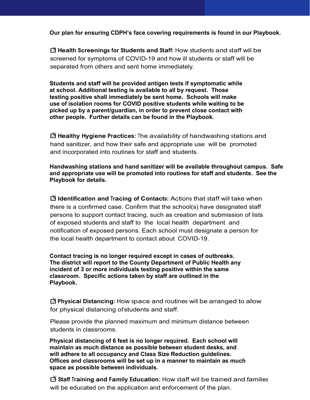**Our plan for ensuring CDPH's face covering requirements is found in our Playbook.**

☐<sup>X</sup> **Health Screenings for Students and Staff:** How students and staff will be screened for symptoms of COVID-19 and how ill students or staff will be separated from others and sent home immediately.

**Students and staff will be provided antigen tests if symptomatic while at school. Additional testing is available to all by request. Those testing positive shall immediately be sent home. Schools will make use of isolation rooms for COVID positive students while waiting to be picked up by a parent/guardian, in order to prevent close contact with other people. Further details can be found in the Playbook.**

☐<sup>X</sup> **Healthy Hygiene Practices:** The availability of handwashing stations and hand sanitizer, and how their safe and appropriate use will be promoted and incorporated into routines for staff and students.

**Handwashing stations and hand sanitizer will be available throughout campus. Safe and appropriate use will be promoted into routines for staff and students. See the Playbook for details.**

☐<sup>X</sup> **Identification and Tracing of Contacts:** Actions that staff will take when there is a confirmed case. Confirm that the school(s) have designated staff persons to support contact tracing, such as creation and submission of lists of exposed students and staff to the local health department and notification of exposed persons. Each school must designate a person for the local health department to contact about COVID-19.

**Contact tracing is no longer required except in cases of outbreaks. The district will report to the County Department of Public Health any incident of 3 or more individuals testing positive within the same classroom. Specific actions taken by staff are outlined in the Playbook.**

 $\overrightarrow{Q}$  **Physical Distancing:** How space and routines will be arranged to allow for physical distancing ofstudents and staff.

Please provide the planned maximum and minimum distance between students in classrooms.

**Physical distancing of 6 feet is no longer required. Each school will maintain as much distance as possible between student desks, and will adhere to all occupancy and Class Size Reduction guidelines. Offices and classrooms will be set up in a manner to maintain as much space as possible between individuals.** 

☐<sup>X</sup> **Staff Training and Family Education:** How staff will be trained and families will be educated on the application and enforcement of the plan.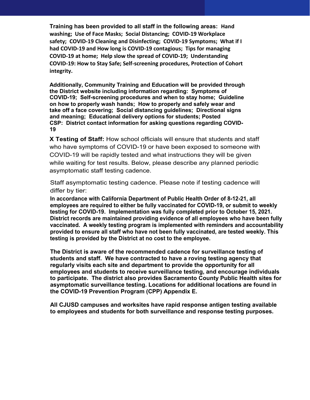**Training has been provided to all staff in the following areas: Hand washing; Use of Face Masks; Social Distancing; COVID-19 Workplace safety; COVID-19 Cleaning and Disinfecting; COVID-19 Symptoms; What if I had COVID-19 and How long is COVID-19 contagious; Tips for managing COVID-19 at home; Help slow the spread of COVID-19; Understanding COVID-19: How to Stay Safe; Self-screening procedures, Protection of Cohort integrity.**

**Additionally, Community Training and Education will be provided through the District website including information regarding: Symptoms of COVID-19; Self-screening procedures and when to stay home; Guideline on how to properly wash hands; How to properly and safely wear and take off a face covering; Social distancing guidelines; Directional signs and meaning; Educational delivery options for students; Posted CSP: District contact information for asking questions regarding COVID-19**

**X Testing of Staff:** How school officials will ensure that students and staff who have symptoms of COVID-19 or have been exposed to someone with COVID-19 will be rapidly tested and what instructions they will be given while waiting for test results. Below, please describe any planned periodic asymptomatic staff testing cadence.

Staff asymptomatic testing cadence. Please note if testing cadence will differ by tier:

**In accordance with California Department of Public Health Order of 8-12-21, all employees are required to either be fully vaccinated for COVID-19, or submit to weekly testing for COVID-19. Implementation was fully completed prior to October 15, 2021. District records are maintained providing evidence of all employees who have been fully vaccinated. A weekly testing program is implemented with reminders and accountability provided to ensure all staff who have not been fully vaccinated, are tested weekly. This testing is provided by the District at no cost to the employee.** 

**The District is aware of the recommended cadence for surveillance testing of students and staff. We have contracted to have a roving testing agency that regularly visits each site and department to provide the opportunity for all employees and students to receive surveillance testing, and encourage individuals to participate. The district also provides Sacramento County Public Health sites for asymptomatic surveillance testing. Locations for additional locations are found in the COVID-19 Prevention Program (CPP) Appendix E.**

**All CJUSD campuses and worksites have rapid response antigen testing available to employees and students for both surveillance and response testing purposes.**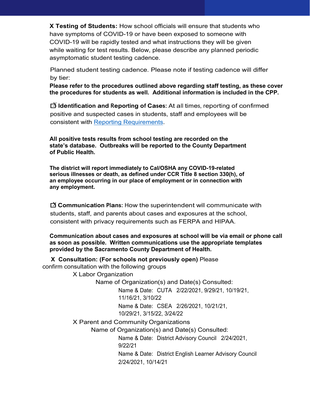**X Testing of Students:** How school officials will ensure that students who have symptoms of COVID-19 or have been exposed to someone with COVID-19 will be rapidly tested and what instructions they will be given while waiting for test results. Below, please describe any planned periodic asymptomatic student testing cadence.

Planned student testing cadence. Please note if testing cadence will differ by tier:

**Please refer to the procedures outlined above regarding staff testing, as these cover the procedures for students as well. Additional information is included in the CPP.**

**□X Identification and Reporting of Cases:** At all times, reporting of confirmed positive and suspected cases in students, staff and employees will be consistent with [Reporting Requirements.](https://www.cdph.ca.gov/Programs/CID/DCDC/Pages/COVID-19/Schools-Case-Reporting-Directive.aspx)

**All positive tests results from school testing are recorded on the state's database. Outbreaks will be reported to the County Department of Public Health.**

**The district will report immediately to Cal/OSHA any COVID-19-related serious illnesses or death, as defined under CCR Title 8 section 330(h), of an employee occurring in our place of employment or in connection with any employment.**

 $\overrightarrow{X}$  **Communication Plans:** How the superintendent will communicate with students, staff, and parents about cases and exposures at the school, consistent with privacy requirements such as FERPA and HIPAA.

**Communication about cases and exposures at school will be via email or phone call as soon as possible. Written communications use the appropriate templates provided by the Sacramento County Department of Health.**

 **X Consultation: (For schools not previously open)** Please confirm consultation with the following groups

X Labor Organization

Name of Organization(s) and Date(s) Consulted:

Name & Date: CUTA 2/22/2021, 9/29/21, 10/19/21, 11/16/21, 3/10/22

Name & Date: CSEA 2/26/2021, 10/21/21,

10/29/21, 3/15/22, 3/24/22

X Parent and Community Organizations

Name of Organization(s) and Date(s) Consulted:

Name & Date: District Advisory Council 2/24/2021, 9/22/21

Name & Date: District English Learner Advisory Council 2/24/2021, 10/14/21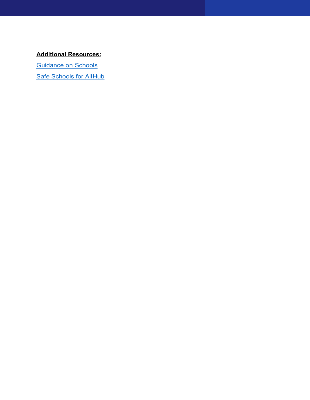### **Additional Resources:**

[Guidance on Schools](https://www.cdph.ca.gov/Programs/CID/DCDC/CDPH%20Document%20Library/COVID-19/Consolidated_Schools_Guidance.pdf)

**[Safe Schools for AllHub](https://schools.covid19.ca.gov/)**